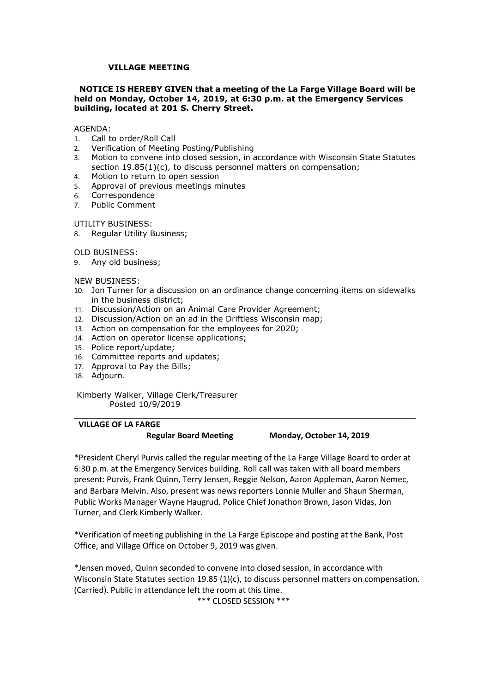# VILLAGE MEETING<br>E IS HEREBY GIVEN that a meeting of the La Farge Village Board will be<br>Monday, October 14, 2019, at 6:30 p.m. at the Emergency Services<br><sub>I,</sub> located at 201 S. Cherry Street. VILLAGE MEETING<br>NOTICE IS HEREBY GIVEN that a meeting of the La Farge Village Board will be<br>eld on Monday, October 14, 2019, at 6:30 p.m. at the Emergency Services<br>uilding, located at 201 S. Cherry Street.<br>GENDA: VILLAGE MEETING<br>
NOTICE IS HEREBY GIVEN that a meeting of the La Farge Village Board will be<br>
held on Monday, October 14, 2019, at 6:30 p.m. at the Emergency Services<br>
building, located at 201 S. Cherry Street.<br>
AGENDA:<br>
1 VILLAGE MEETING<br>
NOTICE IS HEREBY GIVEN that a meeting of the La Farge Village Board will be<br>
held on Monday, October 14, 2019, at 6:30 p.m. at the Emergency Services<br>
building, located at 201 S. Cherry Street.<br>
AGENDA:<br>
1 VILLAGE MEETING<br>
NOTICE IS HEREBY GIVEN that a meeting of the La Farge Village Board will be<br>
held on Monday, October 14, 2019, at 6:30 p.m. at the Emergency Services<br>
building, located at 201 S. Cherry Street.<br>
1. Call to VILLAGE MEETING<br> **NOTICE IS HEREBY GIVEN that a meeting of the La Farge Village Board will be<br>
held on Monday, October 14, 2019, at 6:30 p.m. at the Emergency Services<br>
building, located at 201 S. Cherry Street.<br>
AGENDA:<br>** VILLAGE MEETING<br>
NOTICE IS HEREBY GIVEN that a meeting of the La Farge Village Board will be<br>
held on Monday, October 14, 2019, at 6:30 p.m. at the Emergency Services<br>
AGENDA:<br>
1. Call to order/Roll Call<br>
1. Call to order/ **VILLAGE MEETING**<br>STICE IS HEREBY GIVEN that a meeting of the La Farge Village Board will be<br>Ion Monday, October 14, 2019, at 6:30 p.m. at the Emergency Services<br>ding, located at 201 S. Cherry Street.<br>NDA:<br>MCA:<br>Metincation VILLAGE MEETING<br>
NOTICE IS HEREBY GIVEN that a meeting of the La Farge Village Board will be<br>
held on Monday, October 14, 2019, at 6:30 p.m. at the Emergency Services<br>
building, located at 201 S. Cherry Street.<br>
AGENDA:<br>
1 VILLAGE MEETING<br>
NOTICE IS HEREBY GIVEN that a meeting of the La Farge Village Board will be<br>
held on Monday, October 14, 2019, at 6:30 p.m. at the Emergency Services<br>
building, located at 201 S. Cherry Street.<br>
AGENDA:<br>
1 **VILLAGE MEETING**<br> **NOTICE IS HEREBY GIVEN that a meeting of the La Farge Village Board<br>
held on Monday, October 14, 2019, at 6:30 p.m. at the Emergency Serv<br>
building, located at 201 S. Cherry Street.<br>
AGENDA:<br>
1. Call to** VILLAGE MEETING<br>
NOTICE IS HEREBY GIVEN that a meeting of the La Farge Village Boaheld on Monday, October 14, 2019, at 6:30 p.m. at the Emergency Se<br>
building, located at 201 S. Cherry Street.<br>
AGENDA:<br>
1. Call to order/Ro **VILLAGE MEETING**<br> **NOTICE IS HEREBY GIVEN that a meeting of the La Farge Village Board will be<br>
held on Monday, October 14, 2019, at 6:30 p.m. at the Emergency Services<br>
building, located at 201 S. Cherry Street.<br>
AGENDA:** VILLAGE MEETING<br>
NOTICE IS HEREBY GIVEN that a meeting of the La Farge Village<br>
held on Monday, October 14, 2019, at 6:30 p.m. at the Emergency<br>
building, located at 201 S. Cherry Street.<br>
AGENDA:<br>
1. Call to order/Roll Ca **VILLAGE MEETING**<br> **NOTICE IS HEREBY GIVEN that a meeting of the La Farge Village Board w<br>
held on Monday, October 14, 2019, at 6:30 p.m. at the Emergency Servic<br>
building, located at 201 S. Cherry Street.<br>
AGENDA:<br>
1. Cal VILLAGE MEETING**<br> **NOTICE IS HEREBY GIVEN that a meeting of the La Farge Village B<br>
held on Monday, October 14, 2019, at 6:30 p.m. at the Emergency<br>
building, located at 201 S. Cherry Street.<br>
AGENDA:<br>
1. Call to order/Ro NOTICE IS HEREBY GIVEN that a meeting of the La Farge Village Board will be<br>
held on Monday, October 14, 2019, at 6:30 p.m. at the Emergency Services<br>
AGENDA:<br>
ACENDA:<br>
1. Call to order/Roll Call<br>
1. Call to order/Roll Ca** ITICE IS HEREBY GIVEN that a meeting of the La Farge Village Board will be<br>
Io In Monday, October 14, 2019, at 6:30 p.m. at the Emergency Services<br>
Dial,<br>
Dial,<br>
Busines, located at 201 S. Cherry Street.<br>
Call to order/Rol NOTELE STEEMERT STATE THE RET INTERNATION CONTROLLED THE CONDUCTED MANAL CONDUCTED MANAL Call to order/Roll Call<br>1. Call to order/Roll Call<br>1. Call to order/Roll Call<br>1. Call to order/Roll Call<br>1. Call to order/Roll Call<br>1

## AGENDA:

- 
- 
- neuron renotation of the employees of the public of the state of the Bullding, located at 201 S. Cherry Street.<br>
2. Verification of Meeting Posting/Publishing<br>
2. Verification of Meeting Posting/Publishing<br>
3. Motion to co AGENDA:<br>
ACENDA:<br>
ACENDA: Call to order/Roll Call<br>
1. Call to order/Roll Call<br>
2. Verification of Meeting Posting/Publishing<br>
3. Motion to convene into closed session, in accordance with Wisconsin State Statutes<br>
1. Call t AGENDA:<br>
1. Call to order/Roll Call<br>
2. Verification of Meeting Posting/Publishing<br>
2. Verification of Meeting Posting/Publishing<br>
3. Motion to convene into closed session, in accordance with Wisconsin State Statutes<br>
4. M AGENIDA:<br>
1. Call to order/Roll Call<br>
2. Verification of Meeting Posting/Publishing<br>
2. Verification to convene into closed session, in accordance with Wisconsin State Section 19.85(1)(c), to discuss personnel matters on c 1. Call to order/Koll Call<br>2. Verification of Meeting Posting/Publishing<br>3. Motion to convene into dosed session, in accordance with Wisconsin State Statutes<br>5. Motion to comme into dosed session, in accordance with Wiscon 2. Verrication of Meeting Posting/Hublisning<br>
3. Motion to convene into dosed session, in accordance with Wisconsin State Statutes<br>
section 19.85(1)(c), to discuss personnel matters on compensation;<br>
4. Motion to return to
- 
- 
- 6. Correspondence
- 

- Example of return to open session<br>
Khop to return to comespondence<br>
Correspondence<br>
TILITY BUSINESS:<br>
Example Comment<br>
TILITY BUSINESS:<br>
Example Utility Business;<br>
Any old business;<br>
A Regular Utility Business;<br>
A Regular oval or previous meetings minutes<br>
espondence<br>
c Comment<br>
BUSINESS:<br>
Ilar Utility Business;<br>
INESS:<br>
INESS:<br>
INESS:<br>
INESS:<br>
INESS:<br>
INESS:<br>
INESS:<br>
INESS:<br>
INESS:<br>
INESS:<br>
INESS:<br>
expondation on an ad in the Driftless Wis
- 
- 
- 
- 
- 
- 
- 
- 18. Adjourn.

ITILITY BUSINESS:<br>
I. Regular Utility Business;<br>
I. D. BUSINESS:<br>
EW MUSINESS:<br>
EW MUSINESS:<br>
In the business district;<br>
D. Jon Turner for a discussion on an ordinance change concerning items on sidewa<br>
in the business dis Pusiness;<br>
ess;<br>
a discussion on an ordinance change concerning items on sidewalks<br>
e district;<br>
a discussion on an Animal Care Provider Agreement;<br>
tion on an Animal Care Provides Wisconsin map;<br>
pensation for the employe OLD BUSINESS:<br>
S. Any old business;<br>
NEW BUSINESS:<br>
10. Jon Turner for a discussion on an ordinance change concerning items on sidewalks<br>
11. Discussion/Action on an Animal Care Provider Agreement;<br>
12. Discussion/Action o 9. Mily old business;<br>16. D.D. Turner for a discussion on an ordinance change concerning items on sidewalks<br>
16. D.D.Turner for a discussion/Action on an Animal Care Provider Agreement;<br>
11. Discussion/Action on an an in t NEW BUSINESS:<br>
10. Jon Turner for a discussion on an ordinance change concerning items on sidewalks<br>
11. Discussion/Action on an Ad in the Driftless Wisconsin map;<br>
11. Discussion/Action on an Ad in the Driftless Wisconsin 10. Journer for a discussion on an ordinance change concerning items on sidewalks<br>
11. Discussion/Action on an Animal Care Provider Agreement;<br>
11. Discussion/Action on an Animal Care Provider Agreement;<br>
12. Discussion/Ac in the business district;<br>
11. Discussion/Action on an Animal Care Provider Agreement;<br>
12. Discussion/Action on an ad in the Diffletes Wisconsin map;<br>
13. Action on compensation for the employees for 2020;<br>
14. Action on 12. Discussion/Action on an Animal Care Provider Agreement;<br>
12. Discussion/Action on an Animal Care Provider Agreement;<br>
13. Action on compensation for the employees for 2020;<br>
14. Action on compensation for the employees 13. Action on comperator lice employees for 2020;<br>
14. Action on operator license applications;<br>
16. Committee reports and updates;<br>
16. Committee reports and updates;<br>
18. Adjourn.<br>
Kimberly Walker, Village Clerk/Treasure 1. Pacton on operator, and Qledies, and updates;<br>
15. Police report/update;<br>
17. Approval to Pay the Bills;<br>
17. Approval to Pay the Bills;<br>
18. Adjourn.<br>
17. Kimberly Walker, Village Clerk/Treasurer<br>
Posted 10/9/2019<br>
18. 17. Approval to Pay the Bills;<br>
18. Adjourn.<br>
Kimberly Walker, Village Clerk/Treasurer<br> **Posted 10/9/2019**<br> **THEAGE CREARGE Regular Board Meeting Monday, October 14, 2019**<br> **President Cheryl Purvis called the regular meeti** 18. Adjourn.<br>
"Prosted 10/9/2019<br>
"President Cheryl Purvis called the regular meeting of the La Farge Village Board to order at<br>
Regular Board Meeting Monday, October 14, 2019<br>
"President Cheryl Purvis called the regular m Kimberly Walker, Village Clerk/Treasurer<br>
Posted 10/9/2019<br> **Carried 10/9/2019**<br> **Carried Transferse Regular Board Meeting**<br> **Carried the regular meetring of the at arge village Board to order at<br>
Fresident Cheryl Purvis c** Treasurer<br> **Example 18 Monday, October 14, 2019**<br>
e regular meeting of the La Farge Village Board to order at<br>
ses building. Roll call was taken with all board members<br>
y Jensen, Reggie Nelson, Aaron Appleman, Aaron Nemec,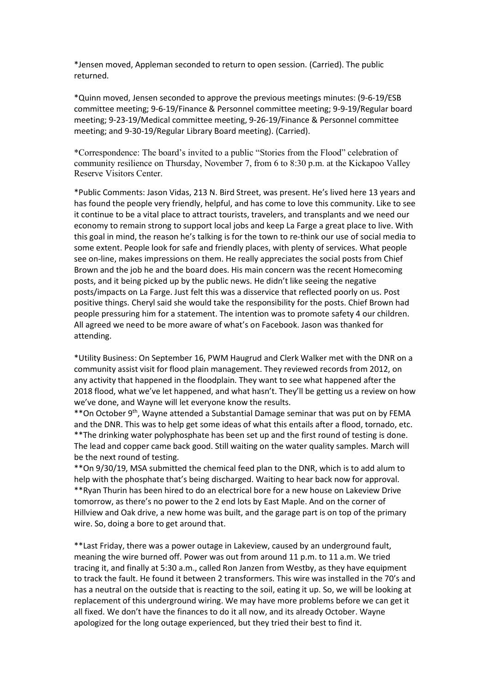returned.

\*Jensen moved, Appleman seconded to return to open session. (Carried). The public \*Jensen moved, Appleman seconded to return to open session. (Carried). The public<br>\*Quinn moved, Jensen seconded to approve the previous meetings minutes: (9-6-19/ESB<br>committee meeting; 9-6-19/Finance & Personnel committee external moved, Appleman seconded to return to open session. (Carried). The public<br>
returned.<br>
\*Quinn moved, Jensen seconded to approve the previous meetings minutes: (9-6-19/ESB<br>
committee meeting; 9-6-19/Finance & Person <sup>\*</sup>Jensen moved, Appleman seconded to return to open session. (Carried). The public<br>returned.<br><sup>\*</sup>Quinn moved, Jensen seconded to approve the previous meetings minutes: (9-6-19/ESB<br>committee meeting; 9-6-19/Finance & Person \*Jensen moved, Appleman seconded to return to open session. (Carried). The public<br>returned.<br>\*Quinn moved, Jensen seconded to approve the previous meetings minutes: (9-6-19/ESB<br>committee meeting; 9-6-19/Finance & Personnel \*Jensen moved, Appleman seconded to return to open session. (Carried). The public<br>
\*Cuinn moved, Jensen seconded to approve the previous meetings minutes: (9-6-19/ESB<br>
\*Committee meeting: 9-6-19/Finance & Personnel committ "lensen moved, Appleman seconded to return to open session. (Carried). The public<br>returned.<br>"Quinn moved, Jensen seconded to approve the previous meetings minutes: (9-6-19/ESB<br>mentitree meeting: 9-6-19/Finance & Personnel \*Jensen moved, Appleman seconded to return to open session. (Carried). The public<br>
returned.<br>
\*Quinn moved, Jensen seconded to approve the previous meetings minutes: (9-6-19/ESB<br>
committee meeting; 9-5-19/Finance & Personn

\*Jensen moved, Appleman seconded to return to open session. (Carried). The public<br>
\*Quinn moved, Jensen seconded to approve the previous meetings minutes: (9-6-19/ESB<br>
committee meeting; 9-5-19/Finance & Personnel committe "Jensen moved, Appleman seconded to return to open session. (Carried). The public<br>returned.<br>"Quinn moved, Jensen seconded to approve the previous meetings minutes: (9-6-19/ESB<br>committee meeting; 9-6-19/Fiance & Personnel c "Jensen moved, Appleman seconded to return to open session. (Carried). The public<br>returned.<br>"Quinn moved, lensen seconded to approve the previous meetings minutes: (9-6-19/ESB<br>committee meeting: 9-5-19/Finance & Personnel "Jensen moved, Appleman seconded to return to open session. (Carried). The public<br>returned.<br>"Quinn moved, Jensen seconded to approve the previous meetings minutes: (9-6-19/ESB<br>meeting: 9-23-19/Medical committee meeting. 9-\*Jensen moved, Appleman seconded to return to open session. (Carried). The public<br>returned.<br>\*Quinn moved, Jensen seconded to approve the previous meetings minutes: (9-6-19/ESB<br>committee meeting: 9-6-19/Finance & Personnel \*lensen moved, Appleman seconded to return to open session. (Carried). The public<br>\*Quinn moved, lensen seconded to approve the previous meetings minutes: (9-6-19/ESB<br>\*Cuinn moved, lensen seconded to approve the previous me "Jensen moved, Appleman seconded to return to open session. (Carried). The public<br>returned.<br>"Quinn moved, lensen seconded to approve the previous meetings minutes: (9-6-19/E8B<br>committee meeting; 9-6-19/Finance & Personnel "Jensen moved, Appleman seconded to return to open session. (Carried). The public<br>"cuinn moved, lensen seconded to approve the previous meetings minutes: (9-6-19/ESB<br>Committee meeting: 9-6-19/Finance & Personnel committee returned.<br>
"Cumin moved, Jensen seconded to approve the previous meetings minutes: (9-6-19/ESB<br>
committee meeting: 9-23-19/Finance & Personnel committee meeting: 9-9-19/Regular board<br>
meeting: 9-23-19/Medical committee mee "Quinn moved, lensen seconded to approve the previous meetings minutes: (9-6-19/ESB<br>committee meeting: 9-5-19/Finance & Personnel committee meeting. 9-9-19/Regular board<br>meeting: 9-23-19/Medical committee meeting. 9-26-19/ \* Quinn moved, Jensen seconded to approve the previous meetings minutes: (9-6-19/Fisance & Personnel committee meeting; 9-9-19/Fisance & Personnel committee meeting; 9-3-19/Regular board meeting; 9-3-19/Regular board meet committee meeting: 9-5-19/Hanace & Personnel committee meeting; 9-9-19/Regular board<br>meeting: 9-23-19/Medical committee meeting, 9-26-19/Finance & Personnel committee<br>meeting: and 9-30-19/Regular Library Board meeting). (C meeting; 9-23-19/Medical committee meeting, 9-26-19/Finance & Personnel committee<br>meeting; and 9-30-19/Regular Library Board meeting). (Carried).<br>"Correspondence: The board's invited to a public "Stories from the Flood" ce attending. \*Correspondence: Ihe board's mutled to a public "Sicruss from the Flood" eclebration of<br>community resilience on Thursday, November 7, from 6 to 8:30 p.m. at the Kickapoo Valley<br>Reserve Visitoss Center.<br>\*Public Comments: Ja community resistince on a flood plain management. They is the getting us a community resisted on the people very friendly, helpful, and has come to love this community. Like to see two flood the people very friendly, helpf resurve Visions Center.<br>
\*Public Comments: Jason Vidas, 213 N. Bird Street, was present. He's lived here 13 years and<br>
that for the people very friendly, helpful, and has come to love this community. Like to see<br>
it contin \*Public Comments: Jason Vidas, 213 N. Bird Street, was present. He's lived here 13 years and<br>has fooud the people very friendly, helpful, and has come to love this community. Like to see<br>it continue to be a vital place to has found the people very friendly, helpful, and has come to love this community. Like to see<br>The continue to be a vital place to attract tourists, travelers, and transplants and we need our<br>economy to remain strong to sup It continue to be a vital place to attract tourists, travelers, and transplants and we need our<br>to contomy to remain strop to support local jobs and keep la Farge a great place to live. With<br>this goal in mind, the reason h economy to remain strong to support local jobs and keep La Farge a great place to live. With the goal in mind, the reason he's taking is for the town to re-think or use of social nedia to some extent. People look for safe this goal in mind, the reason he's talking is for the town to re-think our use of social media to some extent. People look for safe and friendly places, with plently of serives. What people see on-line, makes impressions o some extent. People look for safe and friendly places, with plently of services. What people<br>some extent. People look for safe and friendly places, with plently of services. What people<br>see on-line, makes impressions on th see on-line, makes impressions on them. He really appreciates the social posts from Chief<br>Brown and the job he and the board does. His main concern was the recent Homecoming<br>posts, and it being picked up by the public news Brown and the job he and the board does. His main concern was the recent Homecoming<br>posts, and it being picked up by the public news. He didn't like seeing the negative<br>posts/mpacts on La Farge. Just felt this was a disser posts, and it being picked up by the public news. He didn't like seeing the negative posts/mpacts on La Farge. Uust fell this was a disservice that reflected poorly on us. Poot posts/mpacts on La Farge. Uust fell this was

posts/impacts on La Farge. Just felt this was a disservice that reflected poorly on us. Post postive things. Chery large the the responsibility for the posts. Chief Brown had positive things. Chery larged she would take th positive things. Cheryl said she would take the responsibility for the posts. Chief Brown had<br>positive things. Cheryl said she would take the responsibility for the posts. Chief Brown had<br>enople pressuring him for a statem people pressuring him for a statement. The intention was to promote safety 4 our children.<br>All agreed we need to be more aware of what's on Facebook. Jason was thanked for<br>attending.<br>"Utility Business: On September 16, PWM All agreed we need to be more aware of what's on Facebook. Jason was thanked for<br>attending.<br>The distinguise of the more aware of what's on Facebook. Jason was thanked for<br>attending.<br>The distinguise of the solution of the f

\*\*Lullity Business: On September 16, PWM Haugrud and Clerk Walker met with the DNR on a<br>\*\*Lullity Businessist visit for flood plain management. They reviewed records from 2012, on<br>any activity that happened in the floodpla \*Utility Business: On September 16, PWM Haugrud and Clerk Walker met with the DNR on a<br>community assist visit for flood plain management. They reviewed erecords from 2012, on<br>any activity that happened in the floodplain. community assist visit for flood plain management. They reviewed records from 2012, on<br>any activity that happened in the floodplain. They want to see what happened after the<br>2018 flood, what we've let happened, and what ha any activity that happened in the floodplain. They want to see what happened after the may activity that happened in the floodplain. They want to see what happened after the wew the results. "So cold what we've let happene 2018 flood, what we've let laappened, and what hasn't. They'll be getting us a review on how we've done, and Way will let every one and what hasn't. They'll be getting us a review on how we've done, and Way will let every replacement of this underground fault, the fourth of this underground wiring. We we ve done, and Wayne will let everyone know the results. The and the DNR. This was to help get some ideas of what this entails after a flood \*\*On October 9<sup>n</sup>, Wayne attended a Substantial Damage seminar that was put on by FEMA<br>\*\*On October 9<sup>n</sup>, Wayne attended a Substantial Damage seminar that was put on by FEMA<br>and the DNR. This was to help get some ideas of and the DNR. This was to help get some ideas of what this entials after a flood, tornado, etc.<br>\*\*The drinking water polyphosphate has been set up and the first round of testing is olone.<br>The lead and copper came back good.